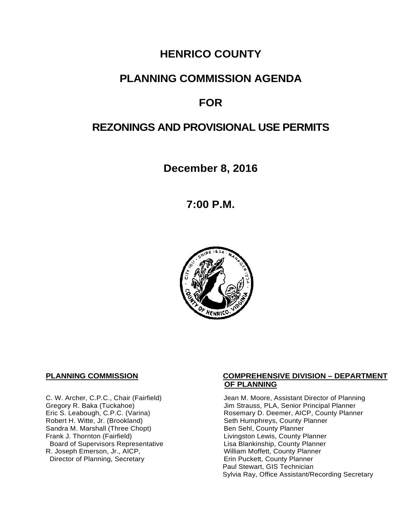# **HENRICO COUNTY**

# **PLANNING COMMISSION AGENDA**

# **FOR**

# **REZONINGS AND PROVISIONAL USE PERMITS**

**December 8, 2016**

**7:00 P.M.**



Sandra M. Marshall (Three Chopt)<br>Frank J. Thornton (Fairfield) Board of Supervisors Representative Lisa Blankinship, County Planner R. Joseph Emerson, Jr., AICP, <br>
Director of Planning, Secretary 
William Moffett, County Planner Director of Planning, Secretary

#### **PLANNING COMMISSION COMPREHENSIVE DIVISION – DEPARTMENT OF PLANNING**

C. W. Archer, C.P.C., Chair (Fairfield) Jean M. Moore, Assistant Director of Planning<br>Gregory R. Baka (Tuckahoe) Jim Strauss, PLA, Senior Principal Planner Gregory R. Baka (Tuckahoe) <br>
Eric S. Leabough, C.P.C. (Varina) Rosemary D. Deemer, AICP, County Planner Eric S. Leabough, C.P.C. (Varina) <br>
Rosemary D. Deemer, AICP, County Planner<br>
Robert H. Witte, Jr. (Brookland) Seth Humphreys, County Planner Seth Humphreys, County Planner<br>Ben Sehl, County Planner Livingston Lewis, County Planner Paul Stewart, GIS Technician Sylvia Ray, Office Assistant/Recording Secretary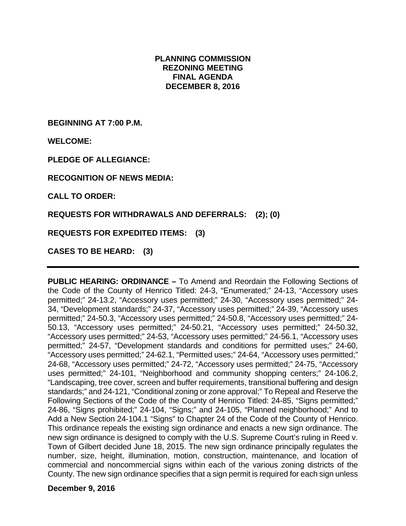#### **PLANNING COMMISSION REZONING MEETING FINAL AGENDA DECEMBER 8, 2016**

**BEGINNING AT 7:00 P.M.** 

**WELCOME:**

**PLEDGE OF ALLEGIANCE:** 

**RECOGNITION OF NEWS MEDIA:** 

**CALL TO ORDER:** 

**REQUESTS FOR WITHDRAWALS AND DEFERRALS: (2); (0)** 

**REQUESTS FOR EXPEDITED ITEMS: (3)** 

**CASES TO BE HEARD: (3)** 

**PUBLIC HEARING: ORDINANCE –** To Amend and Reordain the Following Sections of the Code of the County of Henrico Titled: 24-3, "Enumerated;" 24-13, "Accessory uses permitted;" 24-13.2, "Accessory uses permitted;" 24-30, "Accessory uses permitted;" 24- 34, "Development standards;" 24-37, "Accessory uses permitted;" 24-39, "Accessory uses permitted;" 24-50.3, "Accessory uses permitted;" 24-50.8, "Accessory uses permitted;" 24- 50.13, "Accessory uses permitted;" 24-50.21, "Accessory uses permitted;" 24-50.32, "Accessory uses permitted;" 24-53, "Accessory uses permitted;" 24-56.1, "Accessory uses permitted;" 24-57, "Development standards and conditions for permitted uses;" 24-60, "Accessory uses permitted;" 24-62.1, "Permitted uses;" 24-64, "Accessory uses permitted;" 24-68, "Accessory uses permitted;" 24-72, "Accessory uses permitted;" 24-75, "Accessory uses permitted;" 24-101, "Neighborhood and community shopping centers;" 24-106.2, "Landscaping, tree cover, screen and buffer requirements, transitional buffering and design standards;" and 24-121, "Conditional zoning or zone approval;" To Repeal and Reserve the Following Sections of the Code of the County of Henrico Titled: 24-85, "Signs permitted;" 24-86, "Signs prohibited;" 24-104, "Signs;" and 24-105, "Planned neighborhood;" And to Add a New Section 24-104.1 "Signs" to Chapter 24 of the Code of the County of Henrico. This ordinance repeals the existing sign ordinance and enacts a new sign ordinance. The new sign ordinance is designed to comply with the U.S. Supreme Court's ruling in Reed v. Town of Gilbert decided June 18, 2015. The new sign ordinance principally regulates the number, size, height, illumination, motion, construction, maintenance, and location of commercial and noncommercial signs within each of the various zoning districts of the County. The new sign ordinance specifies that a sign permit is required for each sign unless

**December 9, 2016**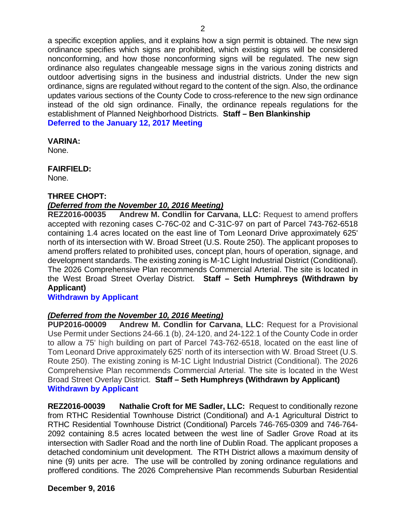a specific exception applies, and it explains how a sign permit is obtained. The new sign ordinance specifies which signs are prohibited, which existing signs will be considered nonconforming, and how those nonconforming signs will be regulated. The new sign ordinance also regulates changeable message signs in the various zoning districts and outdoor advertising signs in the business and industrial districts. Under the new sign ordinance, signs are regulated without regard to the content of the sign. Also, the ordinance updates various sections of the County Code to cross-reference to the new sign ordinance instead of the old sign ordinance. Finally, the ordinance repeals regulations for the establishment of Planned Neighborhood Districts. **Staff – Ben Blankinship Deferred to the January 12, 2017 Meeting**

#### **VARINA:**

None.

## **FAIRFIELD:**

None.

## **THREE CHOPT:**

## *(Deferred from the November 10, 2016 Meeting)*

**REZ2016-00035 Andrew M. Condlin for Carvana, LLC:** Request to amend proffers accepted with rezoning cases C-76C-02 and C-31C-97 on part of Parcel 743-762-6518 containing 1.4 acres located on the east line of Tom Leonard Drive approximately 625' north of its intersection with W. Broad Street (U.S. Route 250). The applicant proposes to amend proffers related to prohibited uses, concept plan, hours of operation, signage, and development standards. The existing zoning is M-1C Light Industrial District (Conditional). The 2026 Comprehensive Plan recommends Commercial Arterial. The site is located in the West Broad Street Overlay District. **Staff – Seth Humphreys (Withdrawn by Applicant)** 

## **Withdrawn by Applicant**

## *(Deferred from the November 10, 2016 Meeting)*

**PUP2016-00009 Andrew M. Condlin for Carvana, LLC:** Request for a Provisional Use Permit under Sections 24-66.1 (b), 24-120, and 24-122.1 of the County Code in order to allow a 75' high building on part of Parcel 743-762-6518, located on the east line of Tom Leonard Drive approximately 625' north of its intersection with W. Broad Street (U.S. Route 250). The existing zoning is M-1C Light Industrial District (Conditional). The 2026 Comprehensive Plan recommends Commercial Arterial. The site is located in the West Broad Street Overlay District. **Staff – Seth Humphreys (Withdrawn by Applicant) Withdrawn by Applicant**

**REZ2016-00039 Nathalie Croft for ME Sadler, LLC:** Request to conditionally rezone from RTHC Residential Townhouse District (Conditional) and A-1 Agricultural District to RTHC Residential Townhouse District (Conditional) Parcels 746-765-0309 and 746-764- 2092 containing 8.5 acres located between the west line of Sadler Grove Road at its intersection with Sadler Road and the north line of Dublin Road. The applicant proposes a detached condominium unit development. The RTH District allows a maximum density of nine (9) units per acre. The use will be controlled by zoning ordinance regulations and proffered conditions. The 2026 Comprehensive Plan recommends Suburban Residential

## **December 9, 2016**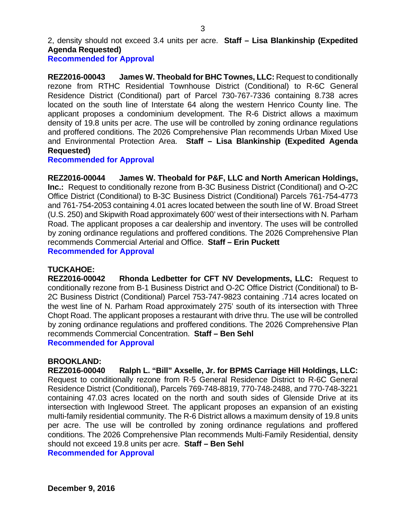2, density should not exceed 3.4 units per acre. **Staff – Lisa Blankinship (Expedited Agenda Requested)**

#### **Recommended for Approval**

**REZ2016-00043 James W. Theobald for BHC Townes, LLC:** Request to conditionally rezone from RTHC Residential Townhouse District (Conditional) to R-6C General Residence District (Conditional) part of Parcel 730-767-7336 containing 8.738 acres located on the south line of Interstate 64 along the western Henrico County line. The applicant proposes a condominium development. The R-6 District allows a maximum density of 19.8 units per acre. The use will be controlled by zoning ordinance regulations and proffered conditions. The 2026 Comprehensive Plan recommends Urban Mixed Use and Environmental Protection Area. **Staff – Lisa Blankinship (Expedited Agenda Requested)**

**Recommended for Approval** 

**REZ2016-00044 James W. Theobald for P&F, LLC and North American Holdings, Inc.:** Request to conditionally rezone from B-3C Business District (Conditional) and O-2C Office District (Conditional) to B-3C Business District (Conditional) Parcels 761-754-4773 and 761-754-2053 containing 4.01 acres located between the south line of W. Broad Street (U.S. 250) and Skipwith Road approximately 600' west of their intersections with N. Parham Road. The applicant proposes a car dealership and inventory. The uses will be controlled by zoning ordinance regulations and proffered conditions. The 2026 Comprehensive Plan recommends Commercial Arterial and Office. **Staff – Erin Puckett Recommended for Approval** 

## **TUCKAHOE:**

**REZ2016-00042 Rhonda Ledbetter for CFT NV Developments, LLC:** Request to conditionally rezone from B-1 Business District and O-2C Office District (Conditional) to B-2C Business District (Conditional) Parcel 753-747-9823 containing .714 acres located on the west line of N. Parham Road approximately 275' south of its intersection with Three Chopt Road. The applicant proposes a restaurant with drive thru. The use will be controlled by zoning ordinance regulations and proffered conditions. The 2026 Comprehensive Plan recommends Commercial Concentration. **Staff – Ben Sehl Recommended for Approval** 

#### **BROOKLAND:**

**REZ2016-00040 Ralph L. "Bill" Axselle, Jr. for BPMS Carriage Hill Holdings, LLC:** Request to conditionally rezone from R-5 General Residence District to R-6C General Residence District (Conditional), Parcels 769-748-8819, 770-748-2488, and 770-748-3221 containing 47.03 acres located on the north and south sides of Glenside Drive at its intersection with Inglewood Street. The applicant proposes an expansion of an existing multi-family residential community. The R-6 District allows a maximum density of 19.8 units per acre. The use will be controlled by zoning ordinance regulations and proffered conditions. The 2026 Comprehensive Plan recommends Multi-Family Residential, density should not exceed 19.8 units per acre. **Staff – Ben Sehl**

**Recommended for Approval**